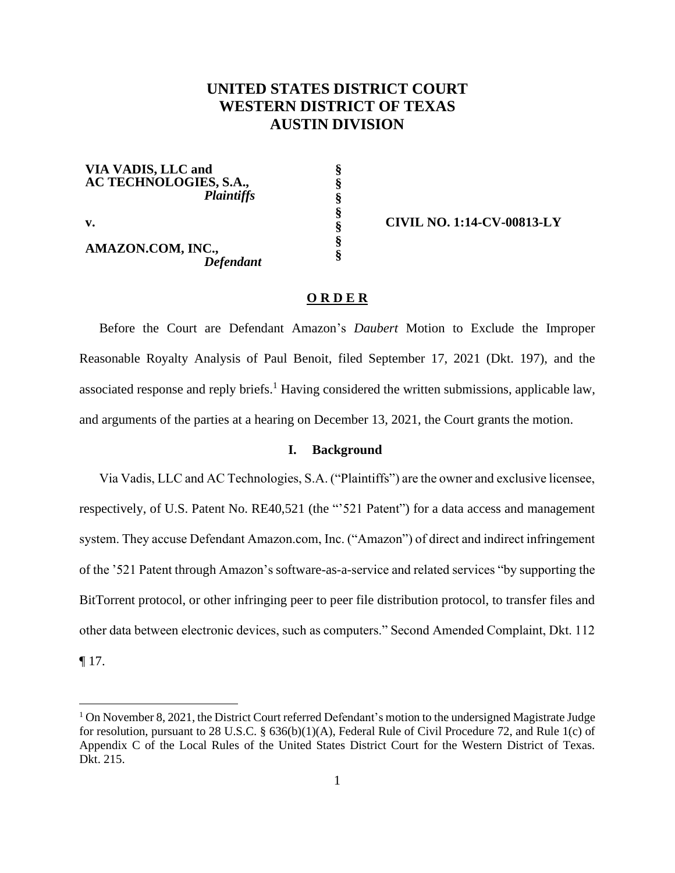# **UNITED STATES DISTRICT COURT WESTERN DISTRICT OF TEXAS AUSTIN DIVISION**

**§ § § § § § §**

**VIA VADIS, LLC and AC TECHNOLOGIES, S.A.,** *Plaintiffs* 

**v.** 

**AMAZON.COM, INC.,** *Defendant* **CIVIL NO. 1:14-CV-00813-LY**

## **O R D E R**

Before the Court are Defendant Amazon's *Daubert* Motion to Exclude the Improper Reasonable Royalty Analysis of Paul Benoit, filed September 17, 2021 (Dkt. 197), and the associated response and reply briefs.<sup>1</sup> Having considered the written submissions, applicable law, and arguments of the parties at a hearing on December 13, 2021, the Court grants the motion.

### **I. Background**

Via Vadis, LLC and AC Technologies, S.A. ("Plaintiffs") are the owner and exclusive licensee, respectively, of U.S. Patent No. RE40,521 (the "'521 Patent") for a data access and management system. They accuse Defendant Amazon.com, Inc. ("Amazon") of direct and indirect infringement of the '521 Patent through Amazon's software-as-a-service and related services "by supporting the BitTorrent protocol, or other infringing peer to peer file distribution protocol, to transfer files and other data between electronic devices, such as computers." Second Amended Complaint, Dkt. 112

¶ 17.

 $1$  On November 8, 2021, the District Court referred Defendant's motion to the undersigned Magistrate Judge for resolution, pursuant to 28 U.S.C. § 636(b)(1)(A), Federal Rule of Civil Procedure 72, and Rule 1(c) of Appendix C of the Local Rules of the United States District Court for the Western District of Texas. Dkt. 215.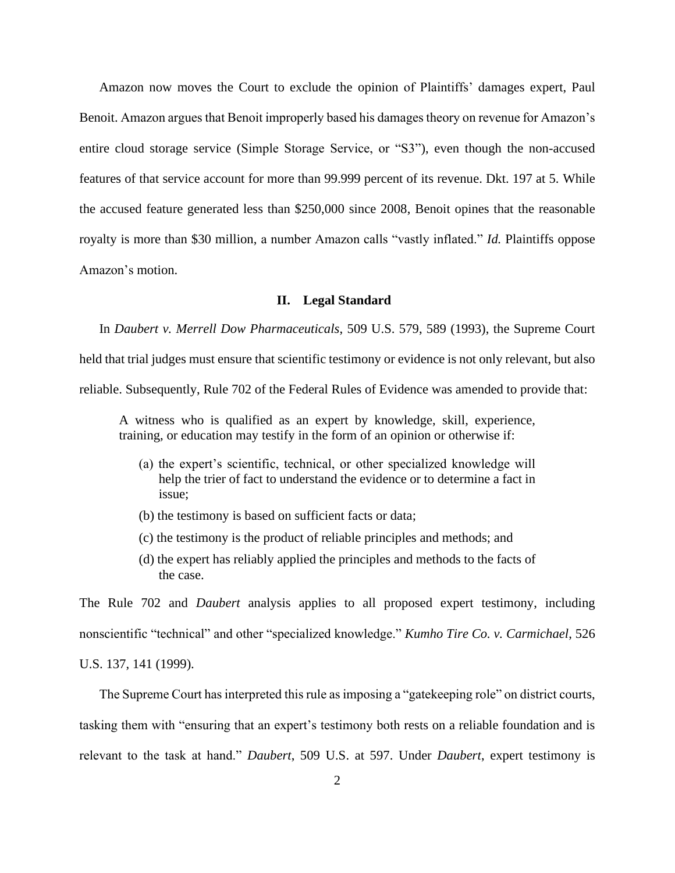Amazon now moves the Court to exclude the opinion of Plaintiffs' damages expert, Paul Benoit. Amazon argues that Benoit improperly based his damages theory on revenue for Amazon's entire cloud storage service (Simple Storage Service, or "S3"), even though the non-accused features of that service account for more than 99.999 percent of its revenue. Dkt. 197 at 5. While the accused feature generated less than \$250,000 since 2008, Benoit opines that the reasonable royalty is more than \$30 million, a number Amazon calls "vastly inflated." *Id.* Plaintiffs oppose Amazon's motion.

### **II. Legal Standard**

In *Daubert v. Merrell Dow Pharmaceuticals*, 509 U.S. 579, 589 (1993), the Supreme Court

held that trial judges must ensure that scientific testimony or evidence is not only relevant, but also

reliable. Subsequently, Rule 702 of the Federal Rules of Evidence was amended to provide that:

A witness who is qualified as an expert by knowledge, skill, experience, training, or education may testify in the form of an opinion or otherwise if:

- (a) the expert's scientific, technical, or other specialized knowledge will help the trier of fact to understand the evidence or to determine a fact in issue;
- (b) the testimony is based on sufficient facts or data;
- (c) the testimony is the product of reliable principles and methods; and
- (d) the expert has reliably applied the principles and methods to the facts of the case.

The Rule 702 and *Daubert* analysis applies to all proposed expert testimony, including nonscientific "technical" and other "specialized knowledge." *Kumho Tire Co. v. Carmichael*, 526 U.S. 137, 141 (1999).

The Supreme Court has interpreted this rule as imposing a "gatekeeping role" on district courts, tasking them with "ensuring that an expert's testimony both rests on a reliable foundation and is relevant to the task at hand." *Daubert*, 509 U.S. at 597. Under *Daubert*, expert testimony is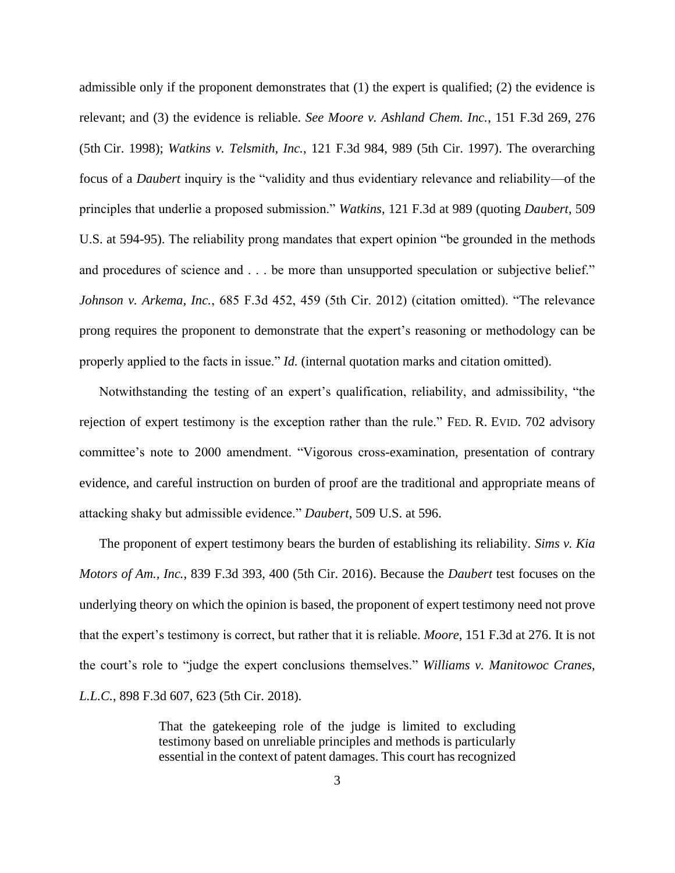admissible only if the proponent demonstrates that (1) the expert is qualified; (2) the evidence is relevant; and (3) the evidence is reliable. *See Moore v. Ashland Chem. Inc.*, 151 F.3d 269, 276 (5th Cir. 1998); *Watkins v. Telsmith, Inc.*, 121 F.3d 984, 989 (5th Cir. 1997). The overarching focus of a *Daubert* inquiry is the "validity and thus evidentiary relevance and reliability—of the principles that underlie a proposed submission." *Watkins*, 121 F.3d at 989 (quoting *Daubert*, 509 U.S. at 594-95). The reliability prong mandates that expert opinion "be grounded in the methods and procedures of science and . . . be more than unsupported speculation or subjective belief." *Johnson v. Arkema, Inc.*, 685 F.3d 452, 459 (5th Cir. 2012) (citation omitted). "The relevance prong requires the proponent to demonstrate that the expert's reasoning or methodology can be properly applied to the facts in issue." *Id.* (internal quotation marks and citation omitted).

Notwithstanding the testing of an expert's qualification, reliability, and admissibility, "the rejection of expert testimony is the exception rather than the rule." FED. R. EVID. 702 advisory committee's note to 2000 amendment. "Vigorous cross-examination, presentation of contrary evidence, and careful instruction on burden of proof are the traditional and appropriate means of attacking shaky but admissible evidence." *Daubert*, 509 U.S. at 596.

The proponent of expert testimony bears the burden of establishing its reliability. *Sims v. Kia Motors of Am., Inc.*, 839 F.3d 393, 400 (5th Cir. 2016). Because the *Daubert* test focuses on the underlying theory on which the opinion is based, the proponent of expert testimony need not prove that the expert's testimony is correct, but rather that it is reliable. *Moore*, 151 F.3d at 276. It is not the court's role to "judge the expert conclusions themselves." *Williams v. Manitowoc Cranes, L.L.C.*, 898 F.3d 607, 623 (5th Cir. 2018).

> That the gatekeeping role of the judge is limited to excluding testimony based on unreliable principles and methods is particularly essential in the context of patent damages. This court has recognized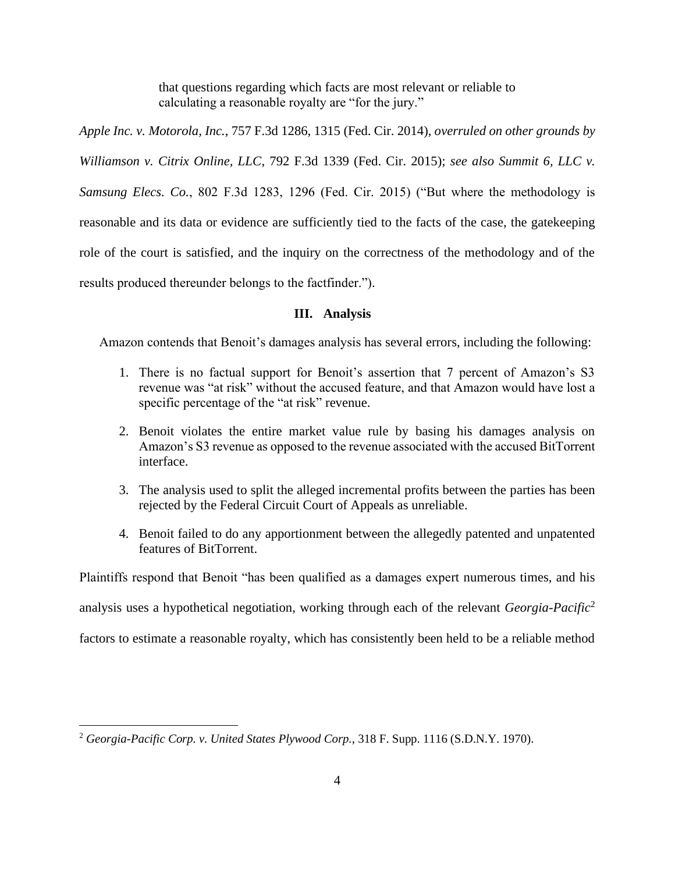that questions regarding which facts are most relevant or reliable to calculating a reasonable royalty are "for the jury."

*Apple Inc. v. Motorola, Inc.*, 757 F.3d 1286, 1315 (Fed. Cir. 2014), *overruled on other grounds by Williamson v. Citrix Online, LLC*, 792 F.3d 1339 (Fed. Cir. 2015); *see also Summit 6, LLC v. Samsung Elecs. Co.*, 802 F.3d 1283, 1296 (Fed. Cir. 2015) ("But where the methodology is reasonable and its data or evidence are sufficiently tied to the facts of the case, the gatekeeping role of the court is satisfied, and the inquiry on the correctness of the methodology and of the results produced thereunder belongs to the factfinder.").

## **III. Analysis**

Amazon contends that Benoit's damages analysis has several errors, including the following:

- 1. There is no factual support for Benoit's assertion that 7 percent of Amazon's S3 revenue was "at risk" without the accused feature, and that Amazon would have lost a specific percentage of the "at risk" revenue.
- 2. Benoit violates the entire market value rule by basing his damages analysis on Amazon's S3 revenue as opposed to the revenue associated with the accused BitTorrent interface.
- 3. The analysis used to split the alleged incremental profits between the parties has been rejected by the Federal Circuit Court of Appeals as unreliable.
- 4. Benoit failed to do any apportionment between the allegedly patented and unpatented features of BitTorrent.

Plaintiffs respond that Benoit "has been qualified as a damages expert numerous times, and his

analysis uses a hypothetical negotiation, working through each of the relevant *Georgia-Pacific*<sup>2</sup>

factors to estimate a reasonable royalty, which has consistently been held to be a reliable method

<sup>2</sup> *Georgia-Pacific Corp. v. United States Plywood Corp.*, 318 F. Supp. 1116 (S.D.N.Y. 1970).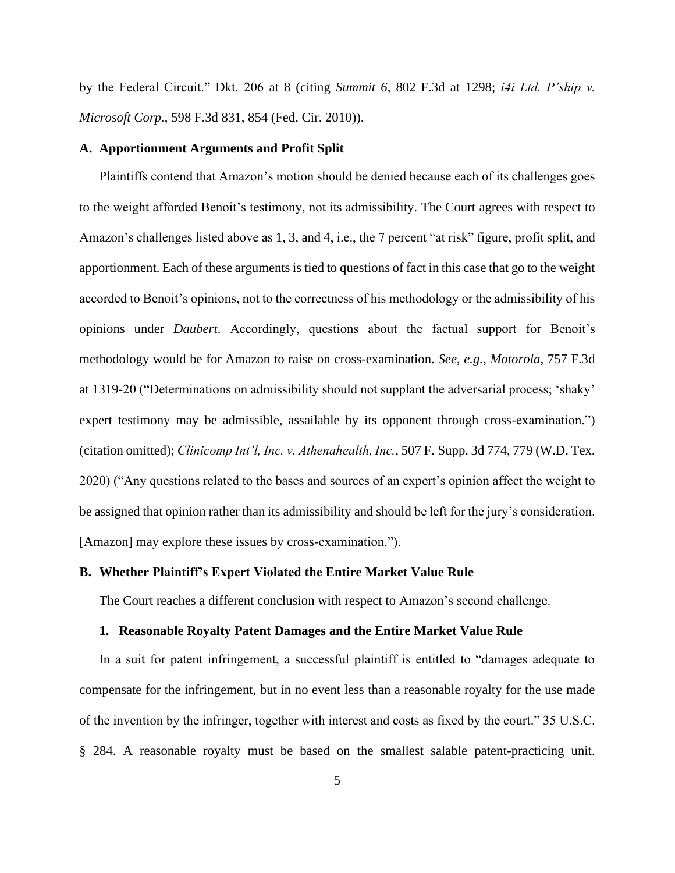by the Federal Circuit." Dkt. 206 at 8 (citing *Summit 6*, 802 F.3d at 1298; *i4i Ltd. P'ship v. Microsoft Corp.*, 598 F.3d 831, 854 (Fed. Cir. 2010)).

#### **A. Apportionment Arguments and Profit Split**

Plaintiffs contend that Amazon's motion should be denied because each of its challenges goes to the weight afforded Benoit's testimony, not its admissibility. The Court agrees with respect to Amazon's challenges listed above as 1, 3, and 4, i.e., the 7 percent "at risk" figure, profit split, and apportionment. Each of these arguments is tied to questions of fact in this case that go to the weight accorded to Benoit's opinions, not to the correctness of his methodology or the admissibility of his opinions under *Daubert*. Accordingly, questions about the factual support for Benoit's methodology would be for Amazon to raise on cross-examination. *See, e.g.*, *Motorola*, 757 F.3d at 1319-20 ("Determinations on admissibility should not supplant the adversarial process; 'shaky' expert testimony may be admissible, assailable by its opponent through cross-examination.") (citation omitted); *Clinicomp Int'l, Inc. v. Athenahealth, Inc.*, 507 F. Supp. 3d 774, 779 (W.D. Tex. 2020) ("Any questions related to the bases and sources of an expert's opinion affect the weight to be assigned that opinion rather than its admissibility and should be left for the jury's consideration. [Amazon] may explore these issues by cross-examination.").

## **B. Whether Plaintiff's Expert Violated the Entire Market Value Rule**

The Court reaches a different conclusion with respect to Amazon's second challenge.

## **1. Reasonable Royalty Patent Damages and the Entire Market Value Rule**

In a suit for patent infringement, a successful plaintiff is entitled to "damages adequate to compensate for the infringement, but in no event less than a reasonable royalty for the use made of the invention by the infringer, together with interest and costs as fixed by the court." 35 U.S.C. § 284. A reasonable royalty must be based on the smallest salable patent-practicing unit.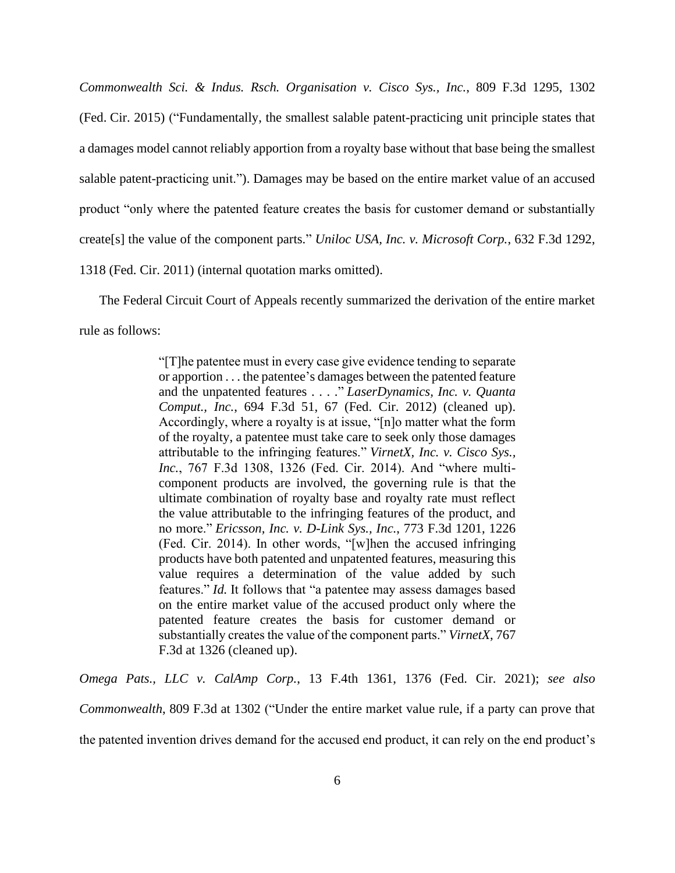*Commonwealth Sci. & Indus. Rsch. Organisation v. Cisco Sys., Inc.*, 809 F.3d 1295, 1302 (Fed. Cir. 2015) ("Fundamentally, the smallest salable patent-practicing unit principle states that a damages model cannot reliably apportion from a royalty base without that base being the smallest salable patent-practicing unit."). Damages may be based on the entire market value of an accused product "only where the patented feature creates the basis for customer demand or substantially create[s] the value of the component parts." *Uniloc USA, Inc. v. Microsoft Corp.*, 632 F.3d 1292, 1318 (Fed. Cir. 2011) (internal quotation marks omitted).

The Federal Circuit Court of Appeals recently summarized the derivation of the entire market rule as follows:

> "[T]he patentee must in every case give evidence tending to separate or apportion . . . the patentee's damages between the patented feature and the unpatented features . . . ." *LaserDynamics, Inc. v. Quanta Comput., Inc.*, 694 F.3d 51, 67 (Fed. Cir. 2012) (cleaned up). Accordingly, where a royalty is at issue, "[n]o matter what the form of the royalty, a patentee must take care to seek only those damages attributable to the infringing features." *VirnetX, Inc. v. Cisco Sys., Inc.*, 767 F.3d 1308, 1326 (Fed. Cir. 2014). And "where multicomponent products are involved, the governing rule is that the ultimate combination of royalty base and royalty rate must reflect the value attributable to the infringing features of the product, and no more." *Ericsson, Inc. v. D-Link Sys., Inc.*, 773 F.3d 1201, 1226 (Fed. Cir. 2014). In other words, "[w]hen the accused infringing products have both patented and unpatented features, measuring this value requires a determination of the value added by such features." *Id.* It follows that "a patentee may assess damages based on the entire market value of the accused product only where the patented feature creates the basis for customer demand or substantially creates the value of the component parts." *VirnetX*, 767 F.3d at 1326 (cleaned up).

*Omega Pats., LLC v. CalAmp Corp.*, 13 F.4th 1361, 1376 (Fed. Cir. 2021); *see also Commonwealth*, 809 F.3d at 1302 ("Under the entire market value rule, if a party can prove that the patented invention drives demand for the accused end product, it can rely on the end product's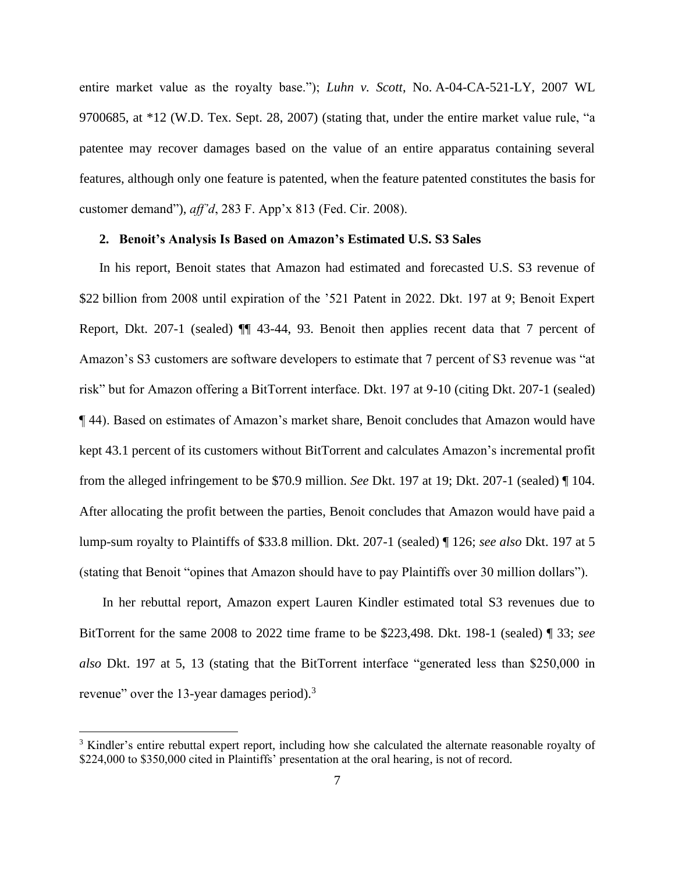entire market value as the royalty base."); *Luhn v. Scott*, No. A-04-CA-521-LY, 2007 WL 9700685, at \*12 (W.D. Tex. Sept. 28, 2007) (stating that, under the entire market value rule, "a patentee may recover damages based on the value of an entire apparatus containing several features, although only one feature is patented, when the feature patented constitutes the basis for customer demand"), *aff'd*, 283 F. App'x 813 (Fed. Cir. 2008).

## **2. Benoit's Analysis Is Based on Amazon's Estimated U.S. S3 Sales**

In his report, Benoit states that Amazon had estimated and forecasted U.S. S3 revenue of \$22 billion from 2008 until expiration of the '521 Patent in 2022. Dkt. 197 at 9; Benoit Expert Report, Dkt. 207-1 (sealed) ¶¶ 43-44, 93. Benoit then applies recent data that 7 percent of Amazon's S3 customers are software developers to estimate that 7 percent of S3 revenue was "at risk" but for Amazon offering a BitTorrent interface. Dkt. 197 at 9-10 (citing Dkt. 207-1 (sealed) ¶ 44). Based on estimates of Amazon's market share, Benoit concludes that Amazon would have kept 43.1 percent of its customers without BitTorrent and calculates Amazon's incremental profit from the alleged infringement to be \$70.9 million. *See* Dkt. 197 at 19; Dkt. 207-1 (sealed) ¶ 104. After allocating the profit between the parties, Benoit concludes that Amazon would have paid a lump-sum royalty to Plaintiffs of \$33.8 million. Dkt. 207-1 (sealed) ¶ 126; *see also* Dkt. 197 at 5 (stating that Benoit "opines that Amazon should have to pay Plaintiffs over 30 million dollars").

In her rebuttal report, Amazon expert Lauren Kindler estimated total S3 revenues due to BitTorrent for the same 2008 to 2022 time frame to be \$223,498. Dkt. 198-1 (sealed) ¶ 33; *see also* Dkt. 197 at 5, 13 (stating that the BitTorrent interface "generated less than \$250,000 in revenue" over the 13-year damages period).<sup>3</sup>

 $3$  Kindler's entire rebuttal expert report, including how she calculated the alternate reasonable royalty of \$224,000 to \$350,000 cited in Plaintiffs' presentation at the oral hearing, is not of record.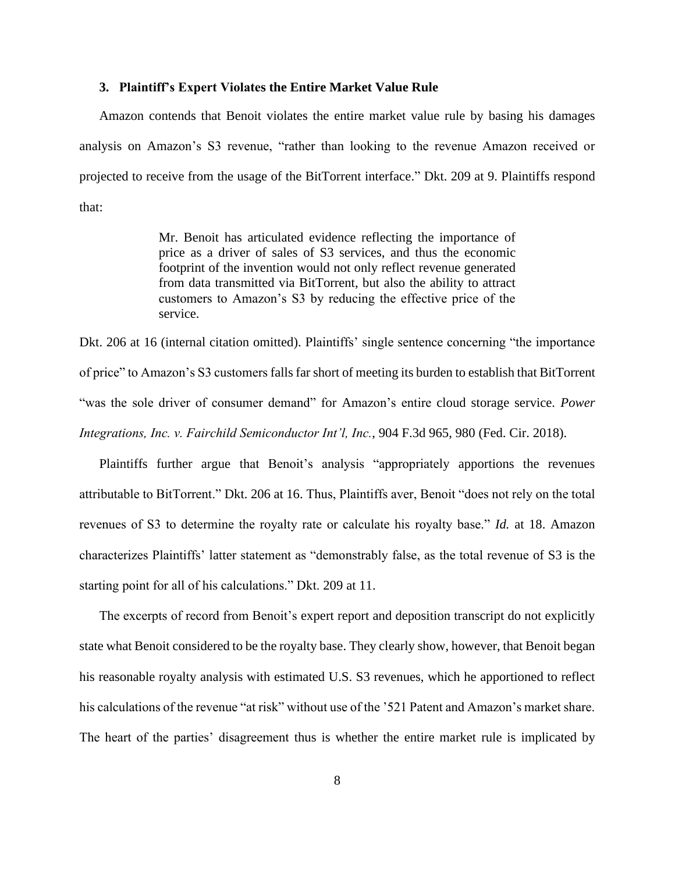### **3. Plaintiff's Expert Violates the Entire Market Value Rule**

Amazon contends that Benoit violates the entire market value rule by basing his damages analysis on Amazon's S3 revenue, "rather than looking to the revenue Amazon received or projected to receive from the usage of the BitTorrent interface." Dkt. 209 at 9. Plaintiffs respond that:

> Mr. Benoit has articulated evidence reflecting the importance of price as a driver of sales of S3 services, and thus the economic footprint of the invention would not only reflect revenue generated from data transmitted via BitTorrent, but also the ability to attract customers to Amazon's S3 by reducing the effective price of the service.

Dkt. 206 at 16 (internal citation omitted). Plaintiffs' single sentence concerning "the importance of price" to Amazon's S3 customers falls far short of meeting its burden to establish that BitTorrent "was the sole driver of consumer demand" for Amazon's entire cloud storage service. *Power Integrations, Inc. v. Fairchild Semiconductor Int'l, Inc.*, 904 F.3d 965, 980 (Fed. Cir. 2018).

Plaintiffs further argue that Benoit's analysis "appropriately apportions the revenues attributable to BitTorrent." Dkt. 206 at 16. Thus, Plaintiffs aver, Benoit "does not rely on the total revenues of S3 to determine the royalty rate or calculate his royalty base." *Id.* at 18. Amazon characterizes Plaintiffs' latter statement as "demonstrably false, as the total revenue of S3 is the starting point for all of his calculations." Dkt. 209 at 11.

The excerpts of record from Benoit's expert report and deposition transcript do not explicitly state what Benoit considered to be the royalty base. They clearly show, however, that Benoit began his reasonable royalty analysis with estimated U.S. S3 revenues, which he apportioned to reflect his calculations of the revenue "at risk" without use of the '521 Patent and Amazon's market share. The heart of the parties' disagreement thus is whether the entire market rule is implicated by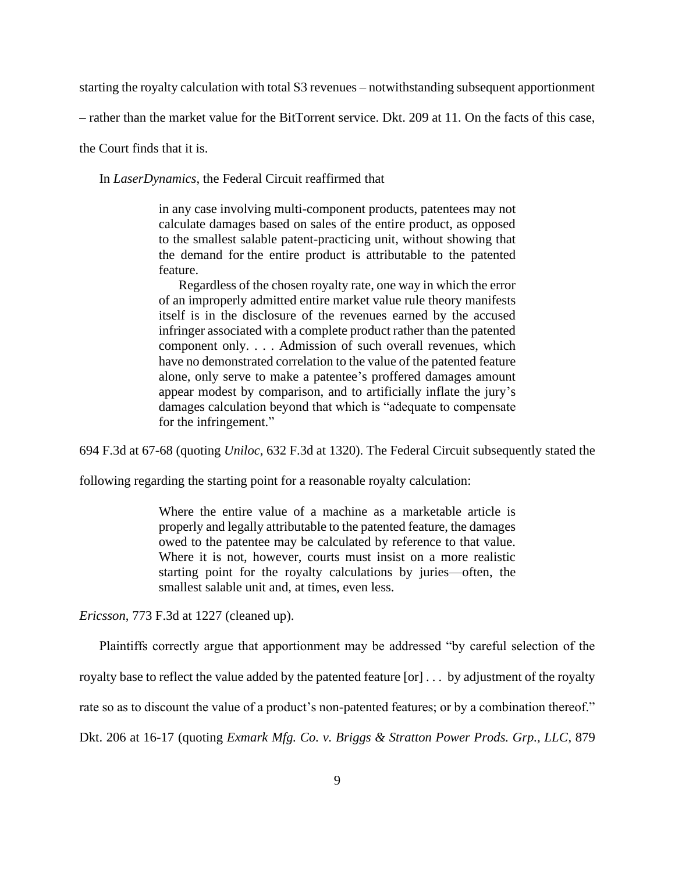starting the royalty calculation with total S3 revenues – notwithstanding subsequent apportionment

– rather than the market value for the BitTorrent service. Dkt. 209 at 11. On the facts of this case,

the Court finds that it is.

In *LaserDynamics*, the Federal Circuit reaffirmed that

in any case involving multi-component products, patentees may not calculate damages based on sales of the entire product, as opposed to the smallest salable patent-practicing unit, without showing that the demand for the entire product is attributable to the patented feature.

Regardless of the chosen royalty rate, one way in which the error of an improperly admitted entire market value rule theory manifests itself is in the disclosure of the revenues earned by the accused infringer associated with a complete product rather than the patented component only. . . . Admission of such overall revenues, which have no demonstrated correlation to the value of the patented feature alone, only serve to make a patentee's proffered damages amount appear modest by comparison, and to artificially inflate the jury's damages calculation beyond that which is "adequate to compensate for the infringement."

694 F.3d at 67-68 (quoting *Uniloc*, 632 F.3d at 1320). The Federal Circuit subsequently stated the

following regarding the starting point for a reasonable royalty calculation:

Where the entire value of a machine as a marketable article is properly and legally attributable to the patented feature, the damages owed to the patentee may be calculated by reference to that value. Where it is not, however, courts must insist on a more realistic starting point for the royalty calculations by juries—often, the smallest salable unit and, at times, even less.

*Ericsson*, 773 F.3d at 1227 (cleaned up).

Plaintiffs correctly argue that apportionment may be addressed "by careful selection of the

royalty base to reflect the value added by the patented feature [or] . . . by adjustment of the royalty

rate so as to discount the value of a product's non-patented features; or by a combination thereof."

Dkt. 206 at 16-17 (quoting *Exmark Mfg. Co. v. Briggs & Stratton Power Prods. Grp., LLC*, 879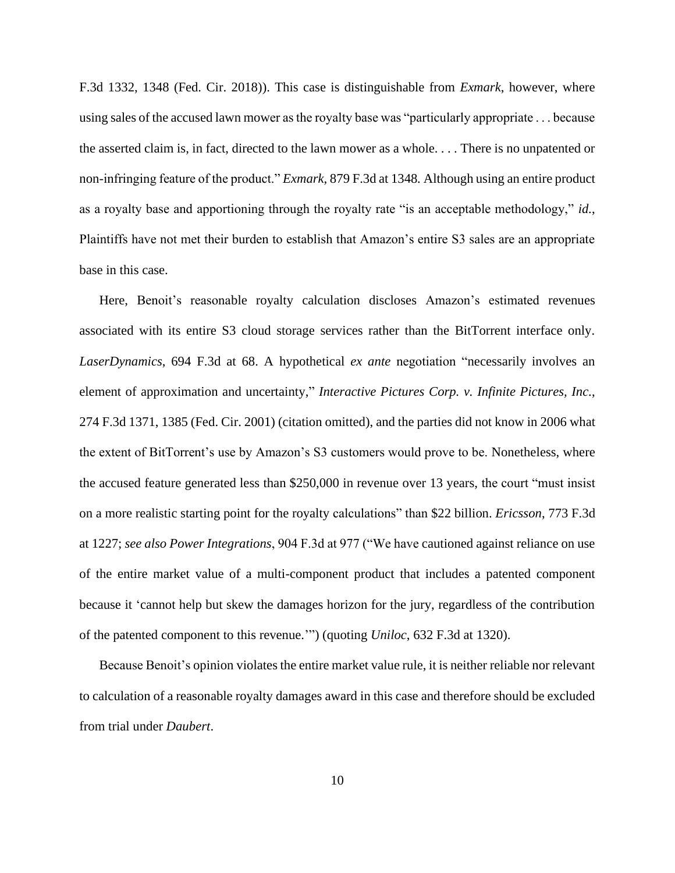F.3d 1332, 1348 (Fed. Cir. 2018)). This case is distinguishable from *Exmark*, however, where using sales of the accused lawn mower as the royalty base was "particularly appropriate . . . because the asserted claim is, in fact, directed to the lawn mower as a whole. . . . There is no unpatented or non-infringing feature of the product." *Exmark*, 879 F.3d at 1348*.* Although using an entire product as a royalty base and apportioning through the royalty rate "is an acceptable methodology," *id.*, Plaintiffs have not met their burden to establish that Amazon's entire S3 sales are an appropriate base in this case.

Here, Benoit's reasonable royalty calculation discloses Amazon's estimated revenues associated with its entire S3 cloud storage services rather than the BitTorrent interface only. *LaserDynamics*, 694 F.3d at 68. A hypothetical *ex ante* negotiation "necessarily involves an element of approximation and uncertainty," *Interactive Pictures Corp. v. Infinite Pictures, Inc.*, 274 F.3d 1371, 1385 (Fed. Cir. 2001) (citation omitted), and the parties did not know in 2006 what the extent of BitTorrent's use by Amazon's S3 customers would prove to be. Nonetheless, where the accused feature generated less than \$250,000 in revenue over 13 years, the court "must insist on a more realistic starting point for the royalty calculations" than \$22 billion. *Ericsson*, 773 F.3d at 1227; *see also Power Integrations*, 904 F.3d at 977 ("We have cautioned against reliance on use of the entire market value of a multi-component product that includes a patented component because it 'cannot help but skew the damages horizon for the jury, regardless of the contribution of the patented component to this revenue.'") (quoting *Uniloc*, 632 F.3d at 1320).

Because Benoit's opinion violates the entire market value rule, it is neither reliable nor relevant to calculation of a reasonable royalty damages award in this case and therefore should be excluded from trial under *Daubert*.